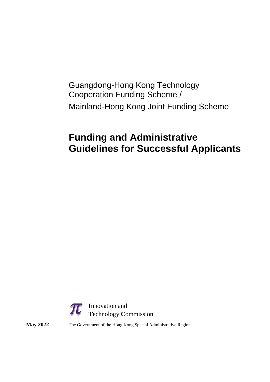## Guangdong-Hong Kong Technology Cooperation Funding Scheme / Mainland-Hong Kong Joint Funding Scheme

# **Funding and Administrative Guidelines for Successful Applicants**



**May 2022** The Government of the Hong Kong Special Administrative Region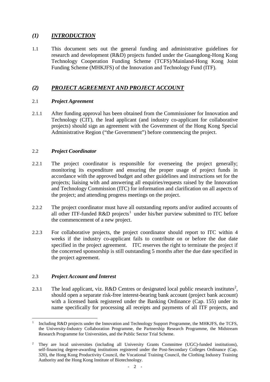## *(1) INTRODUCTION*

1.1 This document sets out the general funding and administrative guidelines for research and development (R&D) projects funded under the Guangdong-Hong Kong Technology Cooperation Funding Scheme (TCFS)/Mainland-Hong Kong Joint Funding Scheme (MHKJFS) of the Innovation and Technology Fund (ITF).

## *(2) PROJECT AGREEMENT AND PROJECT ACCOUNT*

## 2.1 *Project Agreement*

2.1.1 After funding approval has been obtained from the Commissioner for Innovation and Technology (CIT), the lead applicant (and industry co-applicant for collaborative projects) should sign an agreement with the Government of the Hong Kong Special Administrative Region ("the Government") before commencing the project.

## 2.2 *Project Coordinator*

- 2.2.1 The project coordinator is responsible for overseeing the project generally; monitoring its expenditure and ensuring the proper usage of project funds in accordance with the approved budget and other guidelines and instructions set for the projects; liaising with and answering all enquiries/requests raised by the Innovation and Technology Commission (ITC) for information and clarification on all aspects of the project; and attending progress meetings on the project.
- 2.2.2 The project coordinator must have all outstanding reports and/or audited accounts of all other ITF-funded R&D projects<sup>[1](#page-1-0)</sup> under his/her purview submitted to ITC before the commencement of a new project.
- 2.2.3 For collaborative projects, the project coordinator should report to ITC within 4 weeks if the industry co-applicant fails to contribute on or before the due date specified in the project agreement. ITC reserves the right to terminate the project if the concerned sponsorship is still outstanding 5 months after the due date specified in the project agreement.

## 2.3 *Project Account and Interest*

[2](#page-1-1).3.1 The lead applicant, viz. R&D Centres or designated local public research institutes<sup>2</sup>, should open a separate risk-free interest-bearing bank account (project bank account) with a licensed bank registered under the Banking Ordinance (Cap. 155) under its name specifically for processing all receipts and payments of all ITF projects, and

<span id="page-1-0"></span> <sup>1</sup> Including R&D projects under the Innovation and Technology Support Programme, the MHKJFS, the TCFS, the University-Industry Collaboration Programme, the Partnership Research Programme, the Midstream Research Programme for Universities, and the Public Sector Trial Scheme.

<span id="page-1-1"></span><sup>2</sup> They are local universities (including all University Grants Committee (UGC)-funded institutions), self-financing degree-awarding institutions registered under the Post-Secondary Colleges Ordinance (Cap. 320), the Hong Kong Productivity Council, the Vocational Training Council, the Clothing Industry Training Authority and the Hong Kong Institute of Biotechnology.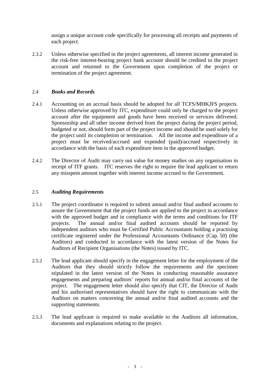assign a unique account code specifically for processing all receipts and payments of each project.

2.3.2 Unless otherwise specified in the project agreements, all interest income generated in the risk-free interest-bearing project bank account should be credited to the project account and returned to the Government upon completion of the project or termination of the project agreement.

#### 2.4 *Books and Records*

- 2.4.1 Accounting on an accrual basis should be adopted for all TCFS/MHKJFS projects. Unless otherwise approved by ITC, expenditure could only be charged to the project account after the equipment and goods have been received or services delivered. Sponsorship and all other income derived from the project during the project period, budgeted or not, should form part of the project income and should be used solely for the project until its completion or termination. All the income and expenditure of a project must be received/accrued and expended (paid)/accrued respectively in accordance with the basis of each expenditure item in the approved budget.
- 2.4.2 The Director of Audit may carry out value for money studies on any organisation in receipt of ITF grants. ITC reserves the right to require the lead applicant to return any misspent amount together with interest income accrued to the Government.

#### 2.5 *Auditing Requirements*

- 2.5.1 The project coordinator is required to submit annual and/or final audited accounts to assure the Government that the project funds are applied to the project in accordance with the approved budget and in compliance with the terms and conditions for ITF projects. The annual and/or final audited accounts should be reported by independent auditors who must be Certified Public Accountants holding a practising certificate registered under the Professional Accountants Ordinance (Cap. 50) (the Auditors) and conducted in accordance with the latest version of the Notes for Auditors of Recipient Organisations (the Notes) issued by ITC.
- 2.5.2 The lead applicant should specify in the engagement letter for the employment of the Auditors that they should strictly follow the requirements and the specimen stipulated in the latest version of the Notes in conducting reasonable assurance engagements and preparing auditors' reports for annual and/or final accounts of the project. The engagement letter should also specify that CIT, the Director of Audit and his authorised representatives should have the right to communicate with the Auditors on matters concerning the annual and/or final audited accounts and the supporting statements.
- 2.5.3 The lead applicant is required to make available to the Auditors all information, documents and explanations relating to the project.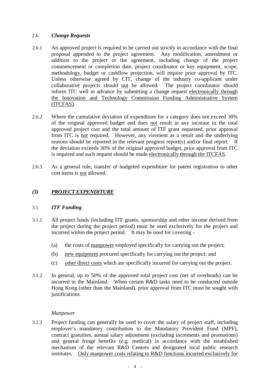## 2.6 *Change Requests*

- 2.6.1 An approved project is required to be carried out strictly in accordance with the final proposal appended to the project agreement. Any modification, amendment or addition to the project or the agreement, including change of the project commencement or completion date, project coordinator or key equipment, scope, methodology, budget or cashflow projection, will require prior approval by ITC. Unless otherwise agreed by CIT, change of the industry co-applicant under collaborative projects should not be allowed. The project coordinator should inform ITC well in advance by submitting a change request electronically through the Innovation and Technology Commission Funding Administrative System (ITCFAS).
- 2.6.2 Where the cumulative deviation of expenditure for a category does not exceed 30% of the original approved budget and does not result in any increase in the total approved project cost and the total amount of ITF grant requested, prior approval from ITC is not required. However, any virement as a result and the underlying reasons should be reported in the relevant progress report(s) and/or final report. If the deviation exceeds 30% of the original approved budget, prior approval from ITC is required and such request should be made electronically through the ITCFAS.
- 2.6.3 As a general rule, transfer of budgeted expenditure for patent registration to other cost items is not allowed.

## *(3) PROJECT EXPENDITURE*

## 3.1 *ITF Funding*

- 3.1.1 All project funds (including ITF grants, sponsorship and other income derived from the project during the project period) must be used exclusively for the project and incurred within the project period. It may be used for covering -
	- (a) the costs of manpower employed specifically for carrying out the project;
	- (b) new equipment procured specifically for carrying out the project; and
	- (c) other direct costs which are specifically incurred for carrying out the project.
- 3.1.2 In general, up to 50% of the approved total project cost (net of overheads) can be incurred in the Mainland. When certain R&D tasks need to be conducted outside Hong Kong (other than the Mainland), prior approval from ITC must be sought with justifications.

#### *Manpower*

3.1.3 Project funding can generally be used to cover the salary of project staff, including employer's mandatory contribution to the Mandatory Provident Fund (MPF), contract gratuities, annual salary adjustment (excluding increments and promotions) and general fringe benefits (e.g. medical) in accordance with the established mechanism of the relevant R&D Centres and designated local public research institutes. Only manpower costs relating to R&D functions incurred exclusively for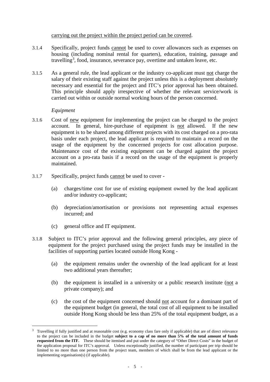#### carrying out the project within the project period can be covered.

- 3.1.4 Specifically, project funds cannot be used to cover allowances such as expenses on housing (including nominal rental for quarters), education, training, passage and travelling<sup>[3](#page-4-0)</sup>, food, insurance, severance pay, overtime and untaken leave, etc.
- 3.1.5 As a general rule, the lead applicant or the industry co-applicant must not charge the salary of their existing staff against the project unless this is a deployment absolutely necessary and essential for the project and ITC's prior approval has been obtained. This principle should apply irrespective of whether the relevant service/work is carried out within or outside normal working hours of the person concerned.

## *Equipment*

- 3.1.6 Cost of new equipment for implementing the project can be charged to the project account. In general, hire-purchase of equipment is not allowed. If the new equipment is to be shared among different projects with its cost charged on a pro-rata basis under each project, the lead applicant is required to maintain a record on the usage of the equipment by the concerned projects for cost allocation purpose. Maintenance cost of the existing equipment can be charged against the project account on a pro-rata basis if a record on the usage of the equipment is properly maintained.
- 3.1.7 Specifically, project funds cannot be used to cover
	- (a) charges/time cost for use of existing equipment owned by the lead applicant and/or industry co-applicant;
	- (b) depreciation/amortisation or provisions not representing actual expenses incurred; and
	- (c) general office and IT equipment.
- 3.1.8 Subject to ITC's prior approval and the following general principles, any piece of equipment for the project purchased using the project funds may be installed in the facilities of supporting parties located outside Hong Kong -
	- (a) the equipment remains under the ownership of the lead applicant for at least two additional years thereafter;
	- (b) the equipment is installed in a university or a public research institute (not a private company); and
	- (c) the cost of the equipment concerned should not account for a dominant part of the equipment budget (in general, the total cost of all equipment to be installed outside Hong Kong should be less than 25% of the total equipment budget, as a

<span id="page-4-0"></span> <sup>3</sup> Travelling if fully justified and at reasonable cost (e.g. economy class fare only if applicable) that are of direct relevance to the project can be included in the budget **subject to a cap of no more than 5% of the total amount of funds requested from the ITF.** These should be itemised and put under the category of "Other Direct Costs" in the budget of the application proposal for ITC's approval. Unless exceptionally justified, the number of participant per trip should be limited to no more than one person from the project team, members of which shall be from the lead applicant or the implementing organisation(s) (if applicable).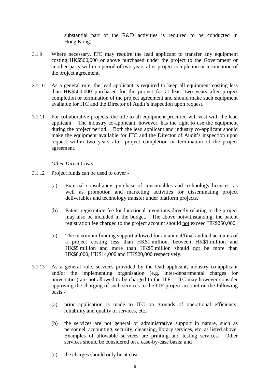substantial part of the R&D activities is required to be conducted in Hong Kong).

- 3.1.9 Where necessary, ITC may require the lead applicant to transfer any equipment costing HK\$500,000 or above purchased under the project to the Government or another party within a period of two years after project completion or termination of the project agreement.
- 3.1.10 As a general rule, the lead applicant is required to keep all equipment costing less than HK\$500,000 purchased for the project for at least two years after project completion or termination of the project agreement and should make such equipment available for ITC and the Director of Audit's inspection upon request.
- 3.1.11 For collaborative projects, the title to all equipment procured will vest with the lead applicant. The industry co-applicant, however, has the right to use the equipment during the project period. Both the lead applicant and industry co-applicant should make the equipment available for ITC and the Director of Audit's inspection upon request within two years after project completion or termination of the project agreement.

#### *Other Direct Costs*

- 3.1.12 Project funds can be used to cover
	- (a) External consultancy, purchase of consumables and technology licences, as well as promotion and marketing activities for disseminating project deliverables and technology transfer under platform projects.
	- (b) Patent registration fee for functional inventions directly relating to the project may also be included in the budget. The above notwithstanding, the patent registration fee charged to the project account should not exceed HK\$250,000.
	- (c) The maximum funding support allowed for an annual/final audited accounts of a project costing less than HK\$1 million, between HK\$1 million and HK\$5 million and more than HK\$5 million should not be more than HK\$8,000, HK\$14,000 and HK\$20,000 respectively.
- 3.1.13 As a general rule, services provided by the lead applicant, industry co-applicant and/or the implementing organisation (e.g. inter-departmental charges for universities) are not allowed to be charged to the ITF. ITC may however consider approving the charging of such services to the ITF project account on the following basis -
	- (a) prior application is made to ITC on grounds of operational efficiency, reliability and quality of services, etc.;
	- (b) the services are not general or administrative support in nature, such as personnel, accounting, security, cleansing, library services, etc. as listed above. Examples of allowable services are printing and testing services. Other services should be considered on a case-by-case basis; and
	- (c) the charges should only be at cost.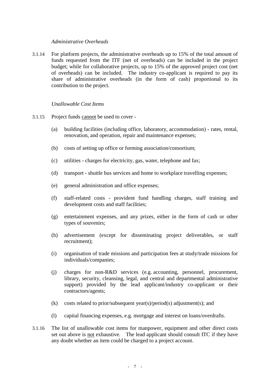#### *Administrative Overheads*

3.1.14 For platform projects, the administrative overheads up to 15% of the total amount of funds requested from the ITF (net of overheads) can be included in the project budget; while for collaborative projects, up to 15% of the approved project cost (net of overheads) can be included. The industry co-applicant is required to pay its share of administrative overheads (in the form of cash) proportional to its contribution to the project.

#### *Unallowable Cost Items*

- 3.1.15 Project funds cannot be used to cover
	- (a) building facilities (including office, laboratory, accommodation) rates, rental, renovation, and operation, repair and maintenance expenses;
	- (b) costs of setting up office or forming association/consortium;
	- (c) utilities charges for electricity, gas, water, telephone and fax;
	- (d) transport shuttle bus services and home to workplace travelling expenses;
	- (e) general administration and office expenses;
	- (f) staff-related costs provident fund handling charges, staff training and development costs and staff facilities;
	- (g) entertainment expenses, and any prizes, either in the form of cash or other types of souvenirs;
	- (h) advertisement (except for disseminating project deliverables, or staff recruitment);
	- (i) organisation of trade missions and participation fees at study/trade missions for individuals/companies;
	- (j) charges for non-R&D services (e.g. accounting, personnel, procurement, library, security, cleansing, legal, and central and departmental administrative support) provided by the lead applicant/industry co-applicant or their contractors/agents;
	- (k) costs related to prior/subsequent year(s)/period(s) adjustment(s); and
	- (l) capital financing expenses, e.g. mortgage and interest on loans/overdrafts.
- 3.1.16 The list of unallowable cost items for manpower, equipment and other direct costs set out above is not exhaustive. The lead applicant should consult ITC if they have any doubt whether an item could be charged to a project account.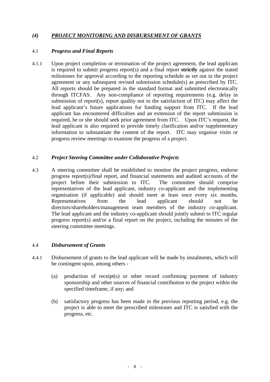## *(4) PROJECT MONITORING AND DISBURSEMENT OF GRANTS*

#### 4.1 *Progress and Final Reports*

4.1.1 Upon project completion or termination of the project agreement, the lead applicant is required to submit progress report(s) and a final report **strictly** against the stated milestones for approval according to the reporting schedule as set out in the project agreement or any subsequent revised submission schedule(s) as prescribed by ITC. All reports should be prepared in the standard format and submitted electronically through ITCFAS. Any non-compliance of reporting requirements (e.g. delay in submission of report(s), report quality not to the satisfaction of ITC) may affect the lead applicant's future applications for funding support from ITC. If the lead applicant has encountered difficulties and an extension of the report submission is required, he or she should seek prior agreement from ITC. Upon ITC's request, the lead applicant is also required to provide timely clarification and/or supplementary information to substantiate the content of the report. ITC may organise visits or progress review meetings to examine the progress of a project.

#### 4.2 *Project Steering Committee under Collaborative Projects*

4.3 A steering committee shall be established to monitor the project progress, endorse progress report(s)/final report, and financial statements and audited accounts of the project before their submission to ITC. The committee should comprise project before their submission to ITC. representatives of the lead applicant, industry co-applicant and the implementing organisation (if applicable) and should meet at least once every six months. Representatives from the lead applicant should not be directors/shareholders/management team members of the industry co-applicant. The lead applicant and the industry co-applicant should jointly submit to ITC regular progress report(s) and/or a final report on the project, including the minutes of the steering committee meetings.

#### 4.4 *Disbursement of Grants*

- 4.4.1 Disbursement of grants to the lead applicant will be made by instalments, which will be contingent upon, among others -
	- (a) production of receipt(s) or other record confirming payment of industry sponsorship and other sources of financial contribution to the project within the specified timeframe, if any; and
	- (b) satisfactory progress has been made in the previous reporting period, e.g. the project is able to meet the prescribed milestones and ITC is satisfied with the progress, etc.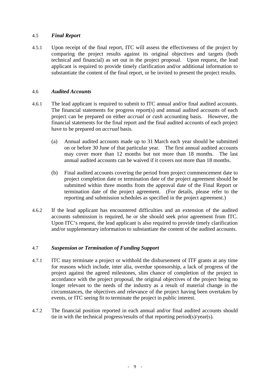#### 4.5 *Final Report*

4.5.1 Upon receipt of the final report, ITC will assess the effectiveness of the project by comparing the project results against its original objectives and targets (both technical and financial) as set out in the project proposal. Upon request, the lead applicant is required to provide timely clarification and/or additional information to substantiate the content of the final report, or be invited to present the project results.

#### 4.6 *Audited Accounts*

- 4.6.1 The lead applicant is required to submit to ITC annual and/or final audited accounts. The financial statements for progress report(s) and annual audited accounts of each project can be prepared on either *accrual* or *cash* accounting basis. However, the financial statements for the final report and the final audited accounts of each project have to be prepared on *accrual* basis.
	- (a) Annual audited accounts made up to 31 March each year should be submitted on or before 30 June of that particular year. The first annual audited accounts may cover more than 12 months but not more than 18 months. The last annual audited accounts can be waived if it covers not more than 18 months.
	- (b) Final audited accounts covering the period from project commencement date to project completion date or termination date of the project agreement should be submitted within three months from the approval date of the Final Report or termination date of the project agreement.(For details, please refer to the reporting and submission schedules as specified in the project agreement.)
- 4.6.2 If the lead applicant has encountered difficulties and an extension of the audited accounts submission is required, he or she should seek prior agreement from ITC. Upon ITC's request, the lead applicant is also required to provide timely clarification and/or supplementary information to substantiate the content of the audited accounts.

## 4.7 *Suspension or Termination of Funding Support*

- 4.7.1 ITC may terminate a project or withhold the disbursement of ITF grants at any time for reasons which include, inter alia, overdue sponsorship, a lack of progress of the project against the agreed milestones, slim chance of completion of the project in accordance with the project proposal, the original objectives of the project being no longer relevant to the needs of the industry as a result of material change in the circumstances, the objectives and relevance of the project having been overtaken by events, or ITC seeing fit to terminate the project in public interest.
- 4.7.2 The financial position reported in each annual and/or final audited accounts should tie in with the technical progress/results of that reporting period(s)/year(s).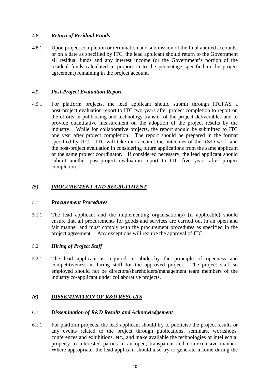## 4.8 *Return of Residual Funds*

4.8.1 Upon project completion or termination and submission of the final audited accounts, or on a date as specified by ITC, the lead applicant should return to the Government all residual funds and any interest income (or the Government's portion of the residual funds calculated in proportion to the percentage specified in the project agreement) remaining in the project account.

#### 4.9 *Post-Project Evaluation Report*

4.9.1 For platform projects, the lead applicant should submit through ITCFAS a post-project evaluation report to ITC two years after project completion to report on the efforts in publicising and technology transfer of the project deliverables and to provide quantitative measurement on the adoption of the project results by the industry. While for collaborative projects, the report should be submitted to ITC one year after project completion. The report should be prepared in the format specified by ITC. ITC will take into account the outcomes of the R&D work and the post-project evaluation in considering future applications from the same applicant or the same project coordinator. If considered necessary, the lead applicant should submit another post-project evaluation report to ITC five years after project completion.

## *(5) PROCUREMENT AND RECRUITMENT*

#### 5.1 *Procurement Procedures*

5.1.1 The lead applicant and the implementing organisation(s) (if applicable) should ensure that all procurements for goods and services are carried out in an open and fair manner and must comply with the procurement procedures as specified in the project agreement. Any exceptions will require the approval of ITC.

## 5.2 *Hiring of Project Staff*

5.2.1 The lead applicant is required to abide by the principle of openness and competitiveness in hiring staff for the approved project. The project staff so employed should not be directors/shareholders/management team members of the industry co-applicant under collaborative projects.

## *(6) DISSEMINATION OF R&D RESULTS*

#### 6.1 *Dissemination of R&D Results and Acknowledgement*

6.1.1 For platform projects, the lead applicant should try to publicise the project results or any events related to the project through publications, seminars, workshops, conferences and exhibitions, etc., and make available the technologies or intellectual property to interested parties in an open, transparent and non-exclusive manner. Where appropriate, the lead applicant should also try to generate income during the